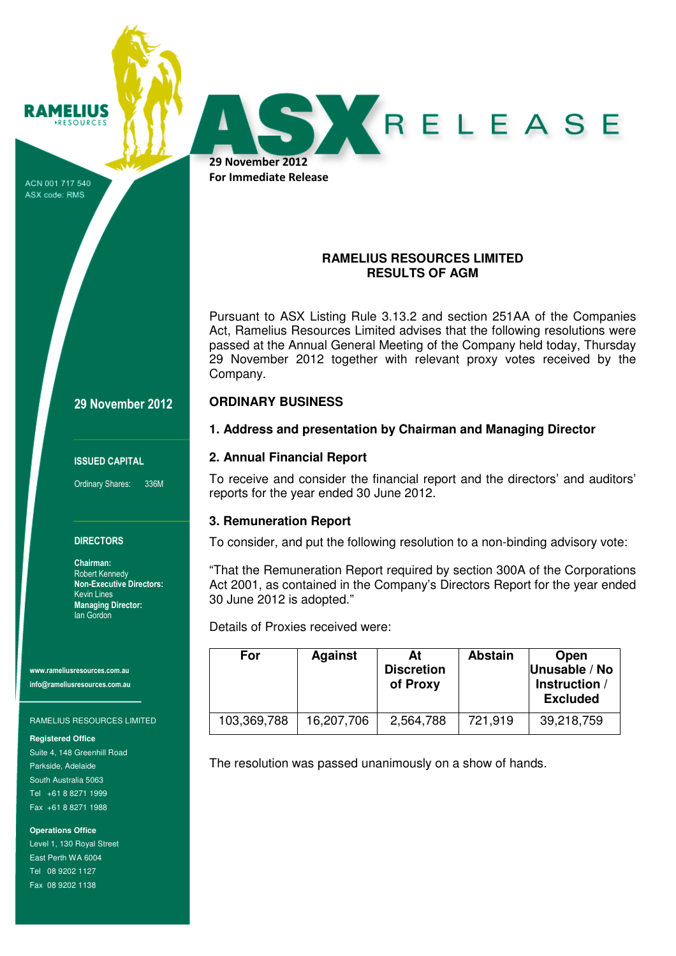**RAMELIUS** 

29 November 2012 For Immediate Release

ACN 001 717 540 ASX code: RMS

# **RAMELIUS RESOURCES LIMITED RESULTS OF AGM**

RELEASE

Pursuant to ASX Listing Rule 3.13.2 and section 251AA of the Companies Act, Ramelius Resources Limited advises that the following resolutions were passed at the Annual General Meeting of the Company held today, Thursday 29 November 2012 together with relevant proxy votes received by the Company.

## 29 November 2012

### ISSUED CAPITAL

Ordinary Shares: 336M

### **DIRECTORS**

Chairman: Robert Kennedy Non-Executive Directors: Kevin Lines Managing Director: Ian Gordon

www.rameliusresources.com.au info@rameliusresources.com.au

#### RAMELIUS RESOURCES LIMITED

#### **Registered Office**

Suite 4, 148 Greenhill Road Parkside, Adelaide South Australia 5063 Tel +61 8 8271 1999 Fax +61 8 8271 1988

**Operations Office**  Level 1, 130 Royal Street East Perth WA 6004 Tel 08 9202 1127 Fax 08 9202 1138

## **2. Annual Financial Report**

**ORDINARY BUSINESS** 

To receive and consider the financial report and the directors' and auditors' reports for the year ended 30 June 2012.

**1. Address and presentation by Chairman and Managing Director** 

## **3. Remuneration Report**

To consider, and put the following resolution to a non-binding advisory vote:

"That the Remuneration Report required by section 300A of the Corporations Act 2001, as contained in the Company's Directors Report for the year ended 30 June 2012 is adopted."

Details of Proxies received were:

| <b>For</b>  | <b>Against</b> | At<br><b>Discretion</b><br>of Proxy | <b>Abstain</b> | Open<br>Unusable / No<br>Instruction /<br><b>Excluded</b> |
|-------------|----------------|-------------------------------------|----------------|-----------------------------------------------------------|
| 103,369,788 | 16,207,706     | 2,564,788                           | 721,919        | 39,218,759                                                |

The resolution was passed unanimously on a show of hands.